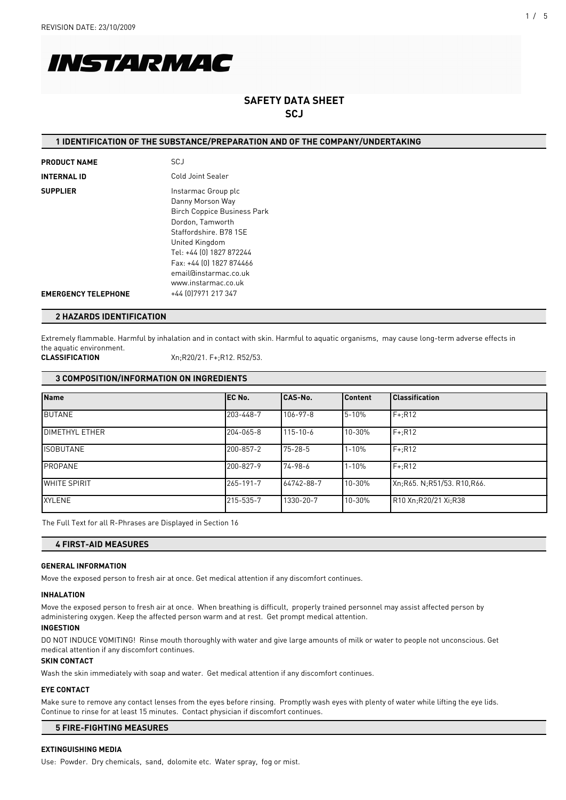

# **SAFETY DATA SHEET SCJ**

### **1 IDENTIFICATION OF THE SUBSTANCE/PREPARATION AND OF THE COMPANY/UNDERTAKING**

| <b>PRODUCT NAME</b>        | <b>SCJ</b>                                                                                                                                                                                                                                            |
|----------------------------|-------------------------------------------------------------------------------------------------------------------------------------------------------------------------------------------------------------------------------------------------------|
| <b>INTERNAL ID</b>         | Cold Joint Sealer                                                                                                                                                                                                                                     |
| <b>SUPPLIER</b>            | Instarmac Group plc<br>Danny Morson Way<br><b>Birch Coppice Business Park</b><br>Dordon, Tamworth<br>Staffordshire, B78 1SE<br>United Kingdom<br>Tel: +44 [0] 1827 872244<br>Fax: +44 [0] 1827 874466<br>email@instarmac.co.uk<br>www.instarmac.co.uk |
| <b>EMERGENCY TELEPHONE</b> | +44 [0] 7971 217 347                                                                                                                                                                                                                                  |

### **2 HAZARDS IDENTIFICATION**

Extremely flammable. Harmful by inhalation and in contact with skin. Harmful to aquatic organisms, may cause long-term adverse effects in the aquatic environment.

**CLASSIFICATION** Xn;R20/21. F+;R12. R52/53.

### **3 COMPOSITION/INFORMATION ON INGREDIENTS**

| <b>Name</b>            | IEC No.   | CAS-No.        | l Content | <b>Classification</b>      |
|------------------------|-----------|----------------|-----------|----------------------------|
| <b>BUTANE</b>          | 203-448-7 | $106 - 97 - 8$ | 5-10%     | $F+iR12$                   |
| <b>IDIMETHYL ETHER</b> | 204-065-8 | $115 - 10 - 6$ | 10-30%    | $F+$ :R12                  |
| <b>ISOBUTANE</b>       | 200-857-2 | $75 - 28 - 5$  | $1 - 10%$ | $F+$ :R12                  |
| PROPANE                | 200-827-9 | 74-98-6        | 1-10%     | $F+$ :R12                  |
| <b>WHITE SPIRIT</b>    | 265-191-7 | 64742-88-7     | 10-30%    | Xn:R65. N:R51/53. R10,R66. |
| <b>XYLENE</b>          | 215-535-7 | 1330-20-7      | 10-30%    | R10 Xn:R20/21 Xi:R38       |

The Full Text for all R-Phrases are Displayed in Section 16

### **4 FIRST-AID MEASURES**

#### **GENERAL INFORMATION**

Move the exposed person to fresh air at once. Get medical attention if any discomfort continues.

#### **INHALATION**

Move the exposed person to fresh air at once. When breathing is difficult, properly trained personnel may assist affected person by administering oxygen. Keep the affected person warm and at rest. Get prompt medical attention.

#### **INGESTION**

DO NOT INDUCE VOMITING! Rinse mouth thoroughly with water and give large amounts of milk or water to people not unconscious. Get medical attention if any discomfort continues.

#### **SKIN CONTACT**

Wash the skin immediately with soap and water. Get medical attention if any discomfort continues.

### **EYE CONTACT**

Make sure to remove any contact lenses from the eyes before rinsing. Promptly wash eyes with plenty of water while lifting the eye lids. Continue to rinse for at least 15 minutes. Contact physician if discomfort continues.

### **5 FIRE-FIGHTING MEASURES**

### **EXTINGUISHING MEDIA**

Use: Powder. Dry chemicals, sand, dolomite etc. Water spray, fog or mist.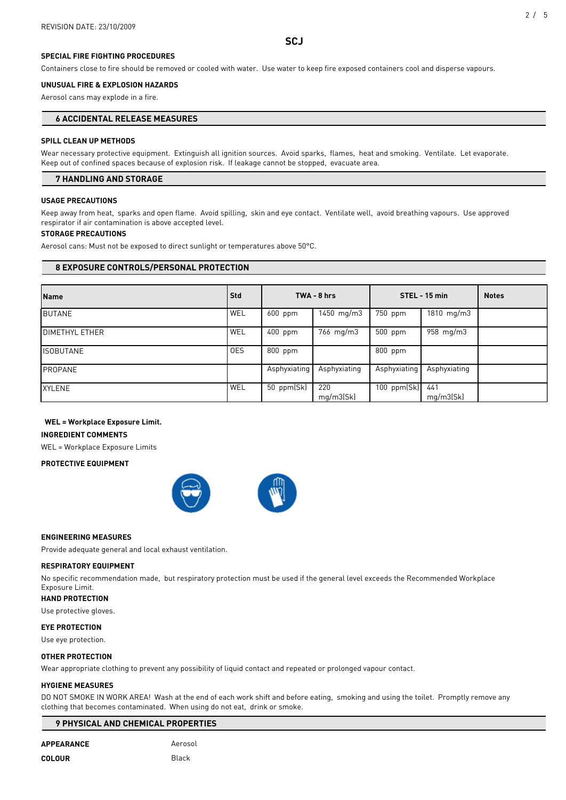### **SPECIAL FIRE FIGHTING PROCEDURES**

Containers close to fire should be removed or cooled with water. Use water to keep fire exposed containers cool and disperse vapours.

#### **UNUSUAL FIRE & EXPLOSION HAZARDS**

Aerosol cans may explode in a fire.

### **6 ACCIDENTAL RELEASE MEASURES**

### **SPILL CLEAN UP METHODS**

Wear necessary protective equipment. Extinguish all ignition sources. Avoid sparks, flames, heat and smoking. Ventilate. Let evaporate. Keep out of confined spaces because of explosion risk. If leakage cannot be stopped, evacuate area.

### **7 HANDLING AND STORAGE**

### **USAGE PRECAUTIONS**

Keep away from heat, sparks and open flame. Avoid spilling, skin and eye contact. Ventilate well, avoid breathing vapours. Use approved respirator if air contamination is above accepted level.

#### **STORAGE PRECAUTIONS**

Aerosol cans: Must not be exposed to direct sunlight or temperatures above 50°C.

### **8 EXPOSURE CONTROLS/PERSONAL PROTECTION**

| <b>Name</b>            | Std        | TWA - 8 hrs  |                    | STEL - 15 min     |                                | <b>Notes</b> |
|------------------------|------------|--------------|--------------------|-------------------|--------------------------------|--------------|
| <b>BUTANE</b>          | WEL        | $600$ ppm    | 1450 mg/m3         | 750 ppm           | $1810 \, \text{mg}/\text{m}$ 3 |              |
| <b>IDIMETHYL ETHER</b> | WEL        | 400 ppm      | $766 \text{ mg/m}$ | $500$ ppm         | $958 \text{ mg/m}$             |              |
| <b>ISOBUTANE</b>       | <b>OES</b> | 800 ppm      |                    | 800 ppm           |                                |              |
| PROPANE                |            | Asphyxiating | Asphyxiating       | Asphyxiating      | Asphyxiating                   |              |
| <b>XYLENE</b>          | WEL        | 50 $ppm(Sk)$ | 220<br>mq/m3(Sk)   | 100 $ppm(Sk)$ 441 | mq/m3(Sk)                      |              |

# **WEL = Workplace Exposure Limit.**

**INGREDIENT COMMENTS**

WEL = Workplace Exposure Limits

#### **PROTECTIVE EQUIPMENT**



#### **ENGINEERING MEASURES**

Provide adequate general and local exhaust ventilation.

#### **RESPIRATORY EQUIPMENT**

No specific recommendation made, but respiratory protection must be used if the general level exceeds the Recommended Workplace Exposure Limit.

# **HAND PROTECTION**

Use protective gloves.

#### **EYE PROTECTION**

Use eye protection.

#### **OTHER PROTECTION**

Wear appropriate clothing to prevent any possibility of liquid contact and repeated or prolonged vapour contact.

### **HYGIENE MEASURES**

DO NOT SMOKE IN WORK AREA! Wash at the end of each work shift and before eating, smoking and using the toilet. Promptly remove any clothing that becomes contaminated. When using do not eat, drink or smoke.

### **9 PHYSICAL AND CHEMICAL PROPERTIES**

APPEARANCE<br>
Aerosol

### **COLOUR** Black

### **SCJ**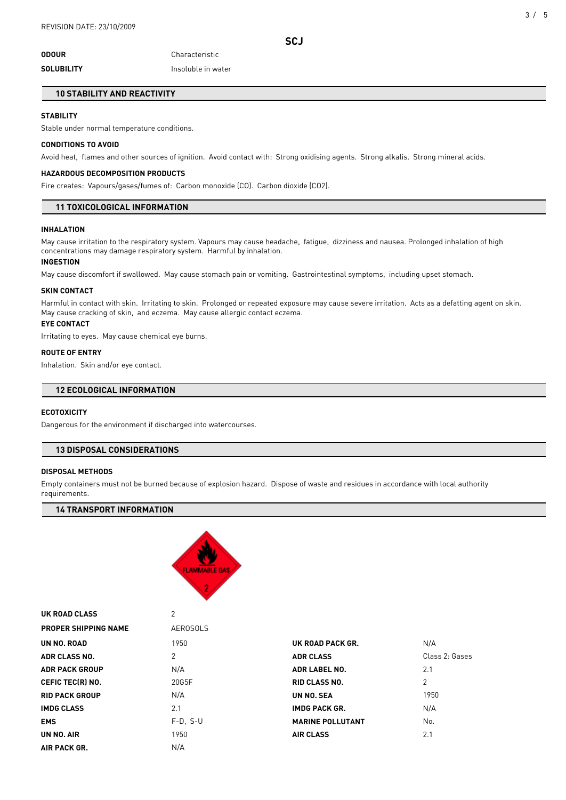# **ODOUR** Characteristic **SOLUBILITY Insoluble in water**

### **10 STABILITY AND REACTIVITY**

### **STABILITY**

Stable under normal temperature conditions.

### **CONDITIONS TO AVOID**

Avoid heat, flames and other sources of ignition. Avoid contact with: Strong oxidising agents. Strong alkalis. Strong mineral acids.

#### **HAZARDOUS DECOMPOSITION PRODUCTS**

Fire creates: Vapours/gases/fumes of: Carbon monoxide (CO). Carbon dioxide (CO2).

### **11 TOXICOLOGICAL INFORMATION**

#### **INHALATION**

May cause irritation to the respiratory system. Vapours may cause headache, fatigue, dizziness and nausea. Prolonged inhalation of high concentrations may damage respiratory system. Harmful by inhalation.

#### **INGESTION**

May cause discomfort if swallowed. May cause stomach pain or vomiting. Gastrointestinal symptoms, including upset stomach.

#### **SKIN CONTACT**

Harmful in contact with skin. Irritating to skin. Prolonged or repeated exposure may cause severe irritation. Acts as a defatting agent on skin. May cause cracking of skin, and eczema. May cause allergic contact eczema.

### **EYE CONTACT**

Irritating to eyes. May cause chemical eye burns.

### **ROUTE OF ENTRY**

Inhalation. Skin and/or eye contact.

## **12 ECOLOGICAL INFORMATION**

#### **ECOTOXICITY**

Dangerous for the environment if discharged into watercourses.

### **13 DISPOSAL CONSIDERATIONS**

#### **DISPOSAL METHODS**

**UK ROAD CLASS** 2

Empty containers must not be burned because of explosion hazard. Dispose of waste and residues in accordance with local authority requirements.

### **14 TRANSPORT INFORMATION**



| VIIIVAD VLAJJ               |                 |                         |                |  |
|-----------------------------|-----------------|-------------------------|----------------|--|
| <b>PROPER SHIPPING NAME</b> | <b>AEROSOLS</b> |                         |                |  |
| UN NO. ROAD                 | 1950            | UK ROAD PACK GR.        | N/A            |  |
| <b>ADR CLASS NO.</b>        | 2               | <b>ADR CLASS</b>        | Class 2: Gases |  |
| <b>ADR PACK GROUP</b>       | N/A             | <b>ADR LABEL NO.</b>    | 2.1            |  |
| <b>CEFIC TEC(R) NO.</b>     | 20G5F           | <b>RID CLASS NO.</b>    | 2              |  |
| <b>RID PACK GROUP</b>       | N/A             | UN NO. SEA              | 1950           |  |
| <b>IMDG CLASS</b>           | 2.1             | <b>IMDG PACK GR.</b>    | N/A            |  |
| <b>EMS</b>                  | $F-D. S-U$      | <b>MARINE POLLUTANT</b> | No.            |  |
| UN NO. AIR                  | 1950            | <b>AIR CLASS</b>        | 2.1            |  |
| AIR PACK GR.                | N/A             |                         |                |  |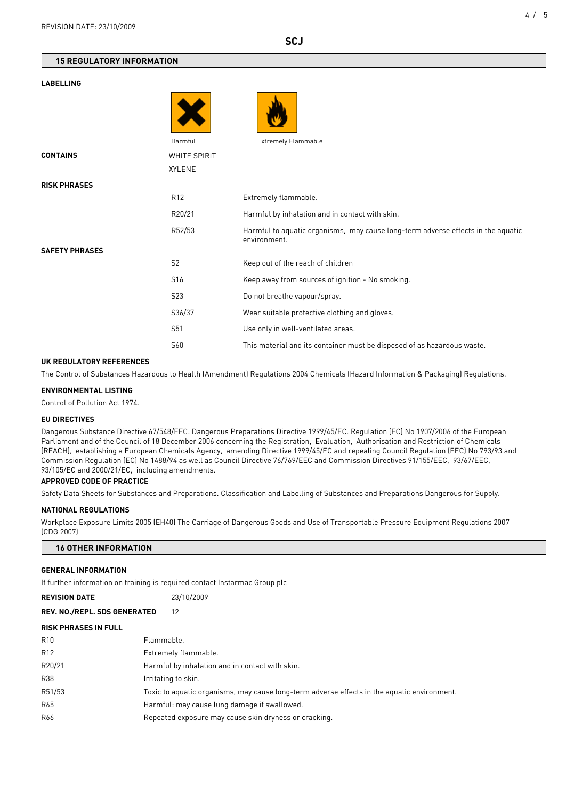#### **LABELLING**

|                       | Harmful         | <b>Extremely Flammable</b>                                                                       |
|-----------------------|-----------------|--------------------------------------------------------------------------------------------------|
| <b>CONTAINS</b>       | WHITE SPIRIT    |                                                                                                  |
|                       | <b>XYLENE</b>   |                                                                                                  |
| <b>RISK PHRASES</b>   |                 |                                                                                                  |
|                       | R <sub>12</sub> | Extremely flammable.                                                                             |
|                       | R20/21          | Harmful by inhalation and in contact with skin.                                                  |
|                       | R52/53          | Harmful to aquatic organisms, may cause long-term adverse effects in the aquatic<br>environment. |
| <b>SAFETY PHRASES</b> |                 |                                                                                                  |
|                       | S <sub>2</sub>  | Keep out of the reach of children                                                                |
|                       | S16             | Keep away from sources of ignition - No smoking.                                                 |
|                       | <b>S23</b>      | Do not breathe vapour/spray.                                                                     |
|                       | S36/37          | Wear suitable protective clothing and gloves.                                                    |
|                       | S51             | Use only in well-ventilated areas.                                                               |
|                       | S60             | This material and its container must be disposed of as hazardous waste.                          |

#### **UK REGULATORY REFERENCES**

The Control of Substances Hazardous to Health (Amendment) Regulations 2004 Chemicals (Hazard Information & Packaging) Regulations.

#### **ENVIRONMENTAL LISTING**

Control of Pollution Act 1974.

### **EU DIRECTIVES**

Dangerous Substance Directive 67/548/EEC. Dangerous Preparations Directive 1999/45/EC. Regulation (EC) No 1907/2006 of the European Parliament and of the Council of 18 December 2006 concerning the Registration, Evaluation, Authorisation and Restriction of Chemicals (REACH), establishing a European Chemicals Agency, amending Directive 1999/45/EC and repealing Council Regulation (EEC) No 793/93 and Commission Regulation (EC) No 1488/94 as well as Council Directive 76/769/EEC and Commission Directives 91/155/EEC, 93/67/EEC, 93/105/EC and 2000/21/EC, including amendments.

### **APPROVED CODE OF PRACTICE**

Safety Data Sheets for Substances and Preparations. Classification and Labelling of Substances and Preparations Dangerous for Supply.

#### **NATIONAL REGULATIONS**

Workplace Exposure Limits 2005 (EH40) The Carriage of Dangerous Goods and Use of Transportable Pressure Equipment Regulations 2007 (CDG 2007)

| <b>16 OTHER INFORMATION</b> |  |
|-----------------------------|--|
|-----------------------------|--|

### **GENERAL INFORMATION**

If further information on training is required contact Instarmac Group plc

| <b>REVISION DATE</b>                |                                                                                             | 23/10/2009 |
|-------------------------------------|---------------------------------------------------------------------------------------------|------------|
| <b>REV. NO./REPL. SDS GENERATED</b> |                                                                                             | 12         |
| <b>RISK PHRASES IN FULL</b>         |                                                                                             |            |
| R <sub>10</sub>                     | Flammable.                                                                                  |            |
| R <sub>12</sub>                     | Extremely flammable.                                                                        |            |
| R20/21                              | Harmful by inhalation and in contact with skin.                                             |            |
| R38                                 | Irritating to skin.                                                                         |            |
| R51/53                              | Toxic to aquatic organisms, may cause long-term adverse effects in the aquatic environment. |            |
| R65                                 | Harmful: may cause lung damage if swallowed.                                                |            |
| R66                                 | Repeated exposure may cause skin dryness or cracking.                                       |            |